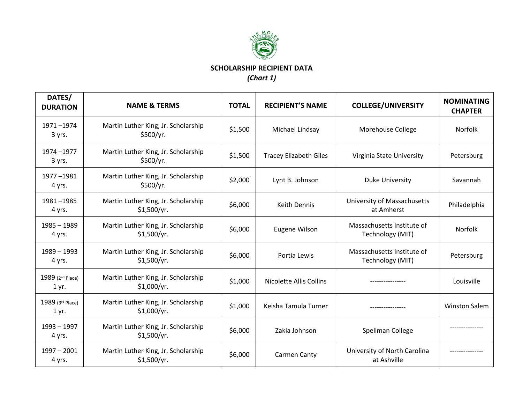

## **SCHOLARSHIP RECIPIENT DATA** *(Chart 1)*

| DATES/<br><b>DURATION</b>             | <b>NAME &amp; TERMS</b>                            | <b>TOTAL</b> | <b>RECIPIENT'S NAME</b>       | <b>COLLEGE/UNIVERSITY</b>                      | <b>NOMINATING</b><br><b>CHAPTER</b> |
|---------------------------------------|----------------------------------------------------|--------------|-------------------------------|------------------------------------------------|-------------------------------------|
| 1971-1974<br>3 yrs.                   | Martin Luther King, Jr. Scholarship<br>\$500/yr.   | \$1,500      | Michael Lindsay               | Morehouse College                              | <b>Norfolk</b>                      |
| 1974-1977<br>3 yrs.                   | Martin Luther King, Jr. Scholarship<br>\$500/yr.   | \$1,500      | <b>Tracey Elizabeth Giles</b> | Virginia State University                      | Petersburg                          |
| 1977-1981<br>4 yrs.                   | Martin Luther King, Jr. Scholarship<br>\$500/yr.   | \$2,000      | Lynt B. Johnson               | <b>Duke University</b>                         | Savannah                            |
| 1981-1985<br>4 yrs.                   | Martin Luther King, Jr. Scholarship<br>\$1,500/yr. | \$6,000      | <b>Keith Dennis</b>           | University of Massachusetts<br>at Amherst      | Philadelphia                        |
| $1985 - 1989$<br>4 yrs.               | Martin Luther King, Jr. Scholarship<br>\$1,500/yr. | \$6,000      | Eugene Wilson                 | Massachusetts Institute of<br>Technology (MIT) | <b>Norfolk</b>                      |
| $1989 - 1993$<br>4 yrs.               | Martin Luther King, Jr. Scholarship<br>\$1,500/yr. | \$6,000      | Portia Lewis                  | Massachusetts Institute of<br>Technology (MIT) | Petersburg                          |
| 1989 (2 <sup>nd</sup> Place)<br>1 yr. | Martin Luther King, Jr. Scholarship<br>\$1,000/yr. | \$1,000      | Nicolette Allis Collins       |                                                | Louisville                          |
| 1989 (3rd Place)<br>1 yr.             | Martin Luther King, Jr. Scholarship<br>\$1,000/yr. | \$1,000      | Keisha Tamula Turner          |                                                | <b>Winston Salem</b>                |
| $1993 - 1997$<br>4 yrs.               | Martin Luther King, Jr. Scholarship<br>\$1,500/yr. | \$6,000      | Zakia Johnson                 | Spellman College                               |                                     |
| $1997 - 2001$<br>4 yrs.               | Martin Luther King, Jr. Scholarship<br>\$1,500/yr. | \$6,000      | Carmen Canty                  | University of North Carolina<br>at Ashville    |                                     |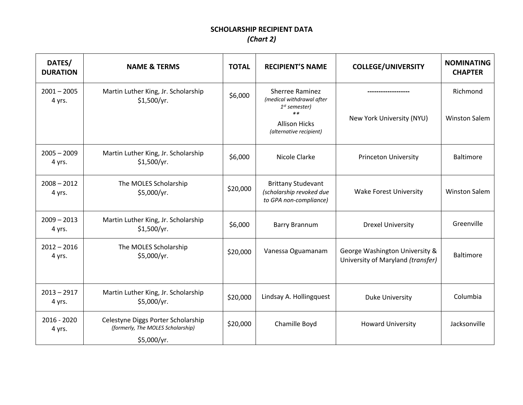## **SCHOLARSHIP RECIPIENT DATA** *(Chart 2)*

| DATES/<br><b>DURATION</b> | <b>NAME &amp; TERMS</b>                                                                | <b>TOTAL</b> | <b>RECIPIENT'S NAME</b>                                                         | <b>COLLEGE/UNIVERSITY</b>                                           | <b>NOMINATING</b><br><b>CHAPTER</b> |
|---------------------------|----------------------------------------------------------------------------------------|--------------|---------------------------------------------------------------------------------|---------------------------------------------------------------------|-------------------------------------|
| $2001 - 2005$<br>4 yrs.   | Martin Luther King, Jr. Scholarship<br>\$1,500/yr.                                     | \$6,000      | Sherree Raminez<br>(medical withdrawal after<br>1 <sup>st</sup> semester)       | ----------------                                                    | Richmond                            |
|                           |                                                                                        |              | **<br><b>Allison Hicks</b><br>(alternative recipient)                           | New York University (NYU)                                           | <b>Winston Salem</b>                |
| $2005 - 2009$<br>4 yrs.   | Martin Luther King, Jr. Scholarship<br>\$1,500/yr.                                     | \$6,000      | Nicole Clarke                                                                   | <b>Princeton University</b>                                         | <b>Baltimore</b>                    |
| $2008 - 2012$<br>4 yrs.   | The MOLES Scholarship<br>\$5,000/yr.                                                   | \$20,000     | <b>Brittany Studevant</b><br>(scholarship revoked due<br>to GPA non-compliance) | <b>Wake Forest University</b>                                       | <b>Winston Salem</b>                |
| $2009 - 2013$<br>4 yrs.   | Martin Luther King, Jr. Scholarship<br>\$1,500/yr.                                     | \$6,000      | <b>Barry Brannum</b>                                                            | <b>Drexel University</b>                                            | Greenville                          |
| $2012 - 2016$<br>4 yrs.   | The MOLES Scholarship<br>\$5,000/yr.                                                   | \$20,000     | Vanessa Oguamanam                                                               | George Washington University &<br>University of Maryland (transfer) | <b>Baltimore</b>                    |
| $2013 - 2917$<br>4 yrs.   | Martin Luther King, Jr. Scholarship<br>\$5,000/yr.                                     | \$20,000     | Lindsay A. Hollingquest                                                         | <b>Duke University</b>                                              | Columbia                            |
| 2016 - 2020<br>4 yrs.     | Celestyne Diggs Porter Scholarship<br>(formerly, The MOLES Scholarship)<br>\$5,000/yr. | \$20,000     | Chamille Boyd                                                                   | <b>Howard University</b>                                            | Jacksonville                        |